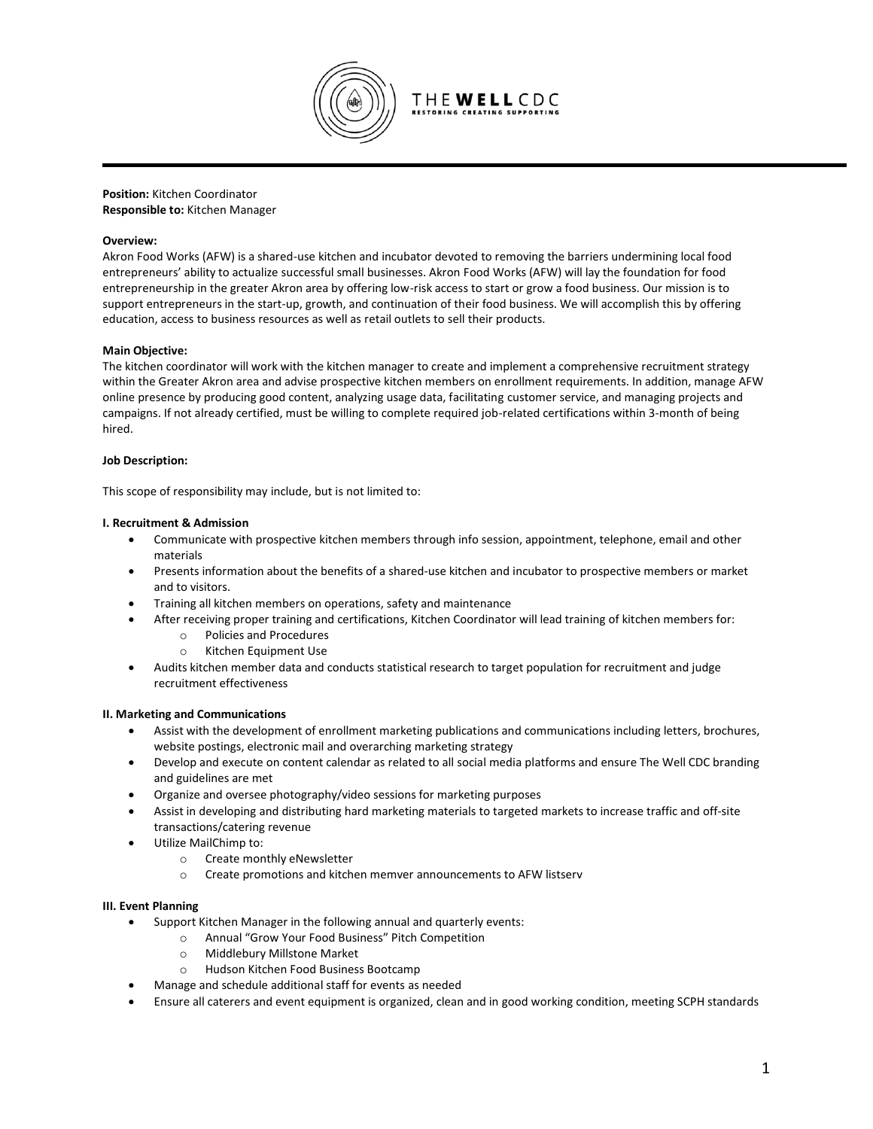

**Position:** Kitchen Coordinator **Responsible to:** Kitchen Manager

## **Overview:**

Akron Food Works (AFW) is a shared-use kitchen and incubator devoted to removing the barriers undermining local food entrepreneurs' ability to actualize successful small businesses. Akron Food Works (AFW) will lay the foundation for food entrepreneurship in the greater Akron area by offering low-risk access to start or grow a food business. Our mission is to support entrepreneurs in the start-up, growth, and continuation of their food business. We will accomplish this by offering education, access to business resources as well as retail outlets to sell their products.

## **Main Objective:**

The kitchen coordinator will work with the kitchen manager to create and implement a comprehensive recruitment strategy within the Greater Akron area and advise prospective kitchen members on enrollment requirements. In addition, manage AFW online presence by producing good content, analyzing usage data, facilitating customer service, and managing projects and campaigns. If not already certified, must be willing to complete required job-related certifications within 3-month of being hired.

## **Job Description:**

This scope of responsibility may include, but is not limited to:

## **I. Recruitment & Admission**

- Communicate with prospective kitchen members through info session, appointment, telephone, email and other materials
- Presents information about the benefits of a shared-use kitchen and incubator to prospective members or market and to visitors.
- Training all kitchen members on operations, safety and maintenance
- After receiving proper training and certifications, Kitchen Coordinator will lead training of kitchen members for:
	- o Policies and Procedures
	- o Kitchen Equipment Use
- Audits kitchen member data and conducts statistical research to target population for recruitment and judge recruitment effectiveness

## **II. Marketing and Communications**

- Assist with the development of enrollment marketing publications and communications including letters, brochures, website postings, electronic mail and overarching marketing strategy
- Develop and execute on content calendar as related to all social media platforms and ensure The Well CDC branding and guidelines are met
- Organize and oversee photography/video sessions for marketing purposes
- Assist in developing and distributing hard marketing materials to targeted markets to increase traffic and off-site transactions/catering revenue
- Utilize MailChimp to:
	- o Create monthly eNewsletter
	- o Create promotions and kitchen memver announcements to AFW listserv

#### **III. Event Planning**

- Support Kitchen Manager in the following annual and quarterly events:
	- o Annual "Grow Your Food Business" Pitch Competition
	- o Middlebury Millstone Market
	- o Hudson Kitchen Food Business Bootcamp
- Manage and schedule additional staff for events as needed
- Ensure all caterers and event equipment is organized, clean and in good working condition, meeting SCPH standards